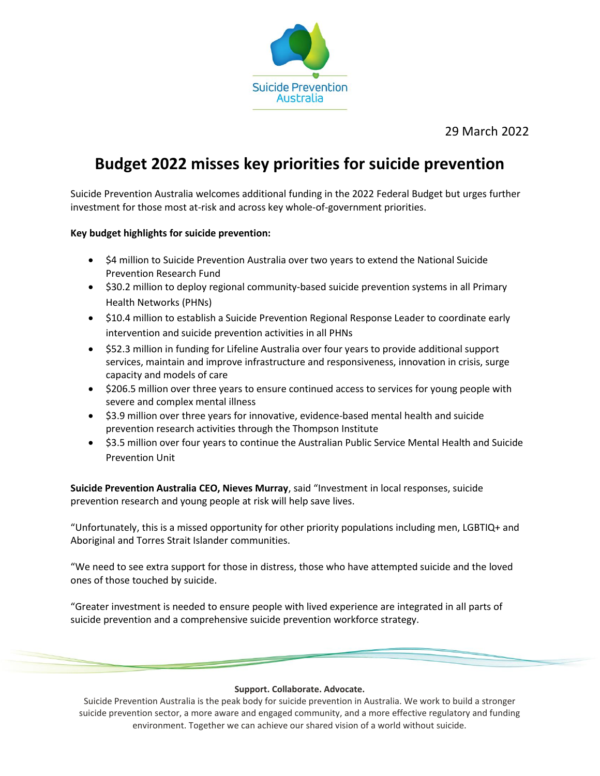

29 March 2022

# **Budget 2022 misses key priorities for suicide prevention**

Suicide Prevention Australia welcomes additional funding in the 2022 Federal Budget but urges further investment for those most at-risk and across key whole-of-government priorities.

## **Key budget highlights for suicide prevention:**

- \$4 million to Suicide Prevention Australia over two years to extend the National Suicide Prevention Research Fund
- \$30.2 million to deploy regional community-based suicide prevention systems in all Primary Health Networks (PHNs)
- \$10.4 million to establish a Suicide Prevention Regional Response Leader to coordinate early intervention and suicide prevention activities in all PHNs
- \$52.3 million in funding for Lifeline Australia over four years to provide additional support services, maintain and improve infrastructure and responsiveness, innovation in crisis, surge capacity and models of care
- \$206.5 million over three years to ensure continued access to services for young people with severe and complex mental illness
- \$3.9 million over three years for innovative, evidence-based mental health and suicide prevention research activities through the Thompson Institute
- \$3.5 million over four years to continue the Australian Public Service Mental Health and Suicide Prevention Unit

**Suicide Prevention Australia CEO, Nieves Murray**, said "Investment in local responses, suicide prevention research and young people at risk will help save lives.

"Unfortunately, this is a missed opportunity for other priority populations including men, LGBTIQ+ and Aboriginal and Torres Strait Islander communities.

"We need to see extra support for those in distress, those who have attempted suicide and the loved ones of those touched by suicide.

"Greater investment is needed to ensure people with lived experience are integrated in all parts of suicide prevention and a comprehensive suicide prevention workforce strategy.

#### **Support. Collaborate. Advocate.**

Suicide Prevention Australia is the peak body for suicide prevention in Australia. We work to build a stronger suicide prevention sector, a more aware and engaged community, and a more effective regulatory and funding environment. Together we can achieve our shared vision of a world without suicide.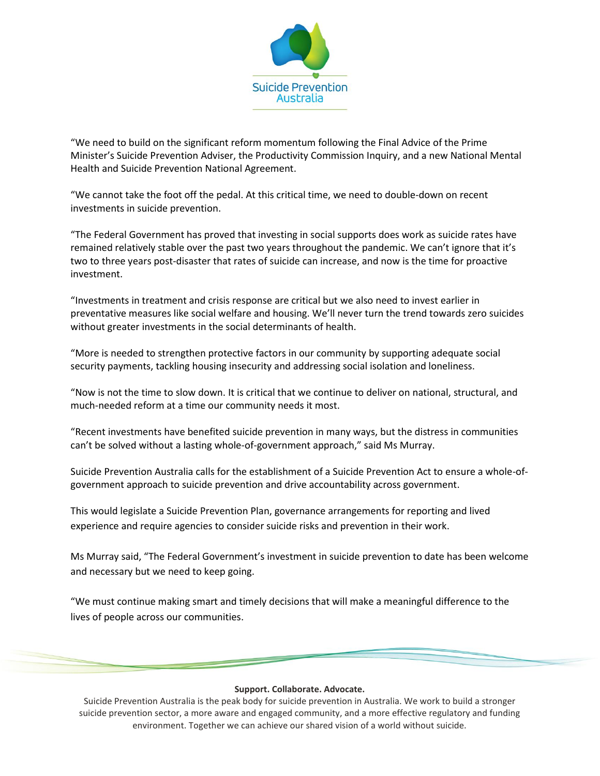

"We need to build on the significant reform momentum following the Final Advice of the Prime Minister's Suicide Prevention Adviser, the Productivity Commission Inquiry, and a new National Mental Health and Suicide Prevention National Agreement.

"We cannot take the foot off the pedal. At this critical time, we need to double-down on recent investments in suicide prevention.

"The Federal Government has proved that investing in social supports does work as suicide rates have remained relatively stable over the past two years throughout the pandemic. We can't ignore that it's two to three years post-disaster that rates of suicide can increase, and now is the time for proactive investment.

"Investments in treatment and crisis response are critical but we also need to invest earlier in preventative measures like social welfare and housing. We'll never turn the trend towards zero suicides without greater investments in the social determinants of health.

"More is needed to strengthen protective factors in our community by supporting adequate social security payments, tackling housing insecurity and addressing social isolation and loneliness.

"Now is not the time to slow down. It is critical that we continue to deliver on national, structural, and much-needed reform at a time our community needs it most.

"Recent investments have benefited suicide prevention in many ways, but the distress in communities can't be solved without a lasting whole-of-government approach," said Ms Murray.

Suicide Prevention Australia calls for the establishment of a Suicide Prevention Act to ensure a whole-ofgovernment approach to suicide prevention and drive accountability across government.

This would legislate a Suicide Prevention Plan, governance arrangements for reporting and lived experience and require agencies to consider suicide risks and prevention in their work.

Ms Murray said, "The Federal Government's investment in suicide prevention to date has been welcome and necessary but we need to keep going.

"We must continue making smart and timely decisions that will make a meaningful difference to the lives of people across our communities.

#### **Support. Collaborate. Advocate.**

Suicide Prevention Australia is the peak body for suicide prevention in Australia. We work to build a stronger suicide prevention sector, a more aware and engaged community, and a more effective regulatory and funding environment. Together we can achieve our shared vision of a world without suicide.